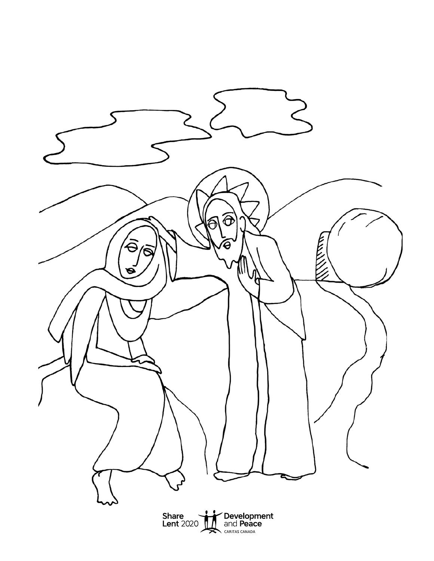